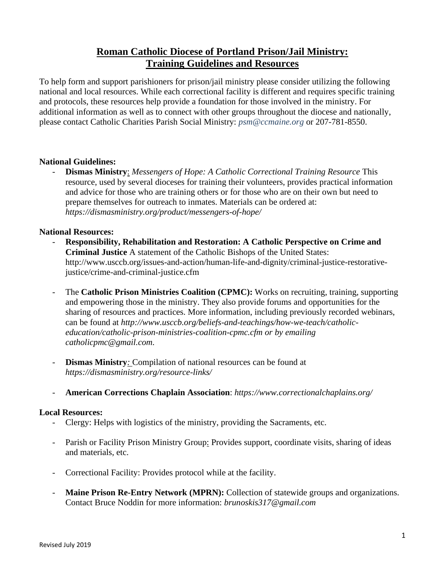# **Roman Catholic Diocese of Portland Prison/Jail Ministry: Training Guidelines and Resources**

To help form and support parishioners for prison/jail ministry please consider utilizing the following national and local resources. While each correctional facility is different and requires specific training and protocols, these resources help provide a foundation for those involved in the ministry. For additional information as well as to connect with other groups throughout the diocese and nationally, please contact Catholic Charities Parish Social Ministry: *[psm@ccmaine.org](mailto:psm@ccmaine.org)* or 207-781-8550.

## **National Guidelines:**

- **Dismas Ministry**: *Messengers of Hope: A Catholic Correctional Training Resource* This resource, used by several dioceses for training their volunteers, provides practical information and advice for those who are training others or for those who are on their own but need to prepare themselves for outreach to inmates. Materials can be ordered at: *<https://dismasministry.org/product/messengers-of-hope/>*

### **National Resources:**

- **Responsibility, Rehabilitation and Restoration: A Catholic Perspective on Crime and Criminal Justice** A statement of the Catholic Bishops of the United States: [http://www.usccb.org/issues-and-action/human-life-and-dignity/criminal-justice-restorative](http://www.usccb.org/issues-and-action/human-life-and-dignity/criminal-justice-restorative-justice/crime-and-criminal-justice.cfm)[justice/crime-and-criminal-justice.cfm](http://www.usccb.org/issues-and-action/human-life-and-dignity/criminal-justice-restorative-justice/crime-and-criminal-justice.cfm)
- The **Catholic Prison Ministries Coalition (CPMC):** Works on recruiting, training, supporting and empowering those in the ministry. They also provide forums and opportunities for the sharing of resources and practices. More information, including previously recorded webinars, can be found at *http://www.usccb.org/beliefs-and-teachings/how-we-teach/catholiceducation/catholic-prison-ministries-coalition-cpmc.cfm or by emailing [catholicpmc@gmail.com.](mailto:catholicpmc@gmail.com)*
- **Dismas Ministry**: Compilation of national resources can be found at *<https://dismasministry.org/resource-links/>*
- **[American Corrections Chaplain Association](https://www.correctionalchaplains.org/)**: *https://www.correctionalchaplains.org/*

### **Local Resources:**

- Clergy: Helps with logistics of the ministry, providing the Sacraments, etc.
- Parish or Facility Prison Ministry Group: Provides support, coordinate visits, sharing of ideas and materials, etc.
- Correctional Facility: Provides protocol while at the facility.
- **Maine Prison Re-Entry Network (MPRN):** Collection of statewide groups and organizations. Contact Bruce Noddin for more information: *[brunoskis317@gmail.com](mailto:brunoskis317@gmail.com)*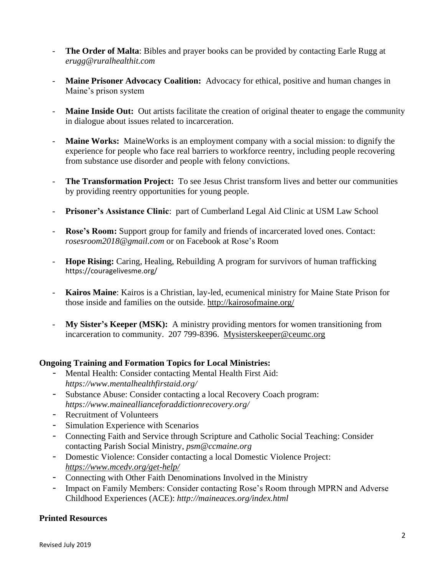- **The Order of Malta**: Bibles and prayer books can be provided by contacting Earle Rugg at *[erugg@ruralhealthit.com](mailto:erugg@ruralhealthit.com)*
- **[Maine Prisoner Advocacy Coalition:](http://www.maineprisoneradvocacy.org/)** Advocacy for ethical, positive and human changes in Maine's prison system
- [Maine Inside Out:](http://www.maineinsideout.org/) Out artists facilitate the creation of original theater to engage the community in dialogue about issues related to incarceration.
- **[Maine Works:](https://www.maineworks.us/)** Maine Works is an employment company with a social mission: to dignify the experience for people who face real barriers to workforce reentry, including people recovering from substance use disorder and people with felony convictions.
- **[The Transformation Project:](https://ttpmaine.org/)** To see Jesus Christ transform lives and better our communities by providing reentry opportunities for young people.
- [Prisoner's Assistance Clinic](https://mainelaw.maine.edu/academics/clinics-and-centers/clac/prisoner-assistance/): part of Cumberland Legal Aid Clinic at USM Law School
- **Rose's Room:** Support group for family and friends of incarcerated loved ones. Contact: *[rosesroom2018@gmail.com](mailto:rosesroom2018@gmail.com)* or on Facebook at Rose's Room
- **Hope Rising:** Caring, Healing, Rebuilding A program for survivors of human trafficking <https://couragelivesme.org/>
- **Kairos Maine**: Kairos is a Christian, lay-led, ecumenical ministry for Maine State Prison for those inside and families on the outside.<http://kairosofmaine.org/>
- **My Sister's Keeper (MSK):** A ministry providing mentors for women transitioning from incarceration to community. 207 799-8396. [Mysisterskeeper@ceumc.org](mailto:Mysisterskeeper@ceumc.org)

## **Ongoing Training and Formation Topics for Local Ministries:**

- Mental Health: Consider contacting Mental Health First Aid: *<https://www.mentalhealthfirstaid.org/>*
- Substance Abuse: Consider contacting a local Recovery Coach program: *<https://www.maineallianceforaddictionrecovery.org/>*
- Recruitment of Volunteers
- Simulation Experience with Scenarios
- Connecting Faith and Service through Scripture and Catholic Social Teaching: Consider contacting Parish Social Ministry, *psm@ccmaine.org*
- Domestic Violence: Consider contacting a local Domestic Violence Project: *<https://www.mcedv.org/get-help/>*
- Connecting with Other Faith Denominations Involved in the Ministry
- Impact on Family Members: Consider contacting Rose's Room through MPRN and Adverse Childhood Experiences (ACE): *<http://maineaces.org/index.html>*

### **Printed Resources**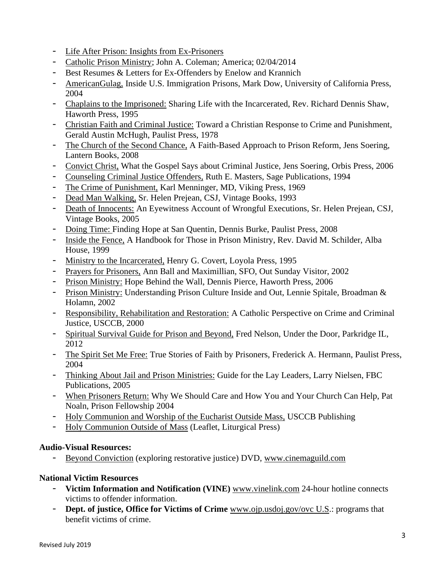- [Life After Prison: Insights from Ex-Prisoners](http://www.mainepublic.org/post/life-after-prison-insights-ex-prisoners)
- [Catholic Prison Ministry;](https://www.americamagazine.org/content/all-things/catholic-prison-ministry) John A. Coleman; America; 02/04/2014
- Best Resumes & Letters for Ex-Offenders by Enelow and Krannich
- AmericanGulag, Inside U.S. Immigration Prisons, Mark Dow, University of California Press, 2004
- Chaplains to the Imprisoned: Sharing Life with the Incarcerated, Rev. Richard Dennis Shaw, Haworth Press, 1995
- Christian Faith and Criminal Justice: Toward a Christian Response to Crime and Punishment, Gerald Austin McHugh, Paulist Press, 1978
- The Church of the Second Chance, A Faith-Based Approach to Prison Reform, Jens Soering, Lantern Books, 2008
- Convict Christ, What the Gospel Says about Criminal Justice, Jens Soering, Orbis Press, 2006
- Counseling Criminal Justice Offenders, Ruth E. Masters, Sage Publications, 1994
- The Crime of Punishment, Karl Menninger, MD, Viking Press, 1969
- Dead Man Walking, Sr. Helen Prejean, CSJ, Vintage Books, 1993
- Death of Innocents: An Eyewitness Account of Wrongful Executions, Sr. Helen Prejean, CSJ, Vintage Books, 2005
- Doing Time: Finding Hope at San Quentin, Dennis Burke, Paulist Press, 2008
- Inside the Fence, A Handbook for Those in Prison Ministry, Rev. David M. Schilder, Alba House, 1999
- Ministry to the Incarcerated, Henry G. Covert, Loyola Press, 1995
- Prayers for Prisoners, Ann Ball and Maximillian, SFO, Out Sunday Visitor, 2002
- Prison Ministry: Hope Behind the Wall, Dennis Pierce, Haworth Press, 2006
- Prison Ministry: Understanding Prison Culture Inside and Out, Lennie Spitale, Broadman & Holamn, 2002
- Responsibility, Rehabilitation and Restoration: A Catholic Perspective on Crime and Criminal Justice, USCCB, 2000
- Spiritual Survival Guide for Prison and Beyond, Fred Nelson, Under the Door, Parkridge IL, 2012
- The Spirit Set Me Free: True Stories of Faith by Prisoners, Frederick A. Hermann, Paulist Press, 2004
- Thinking About Jail and Prison Ministries: Guide for the Lay Leaders, Larry Nielsen, FBC Publications, 2005
- When Prisoners Return: Why We Should Care and How You and Your Church Can Help, Pat Noaln, Prison Fellowship 2004
- Holy Communion and Worship of the Eucharist Outside Mass, USCCB Publishing
- Holy Communion Outside of Mass (Leaflet, Liturgical Press)

## **Audio-Visual Resources:**

Beyond Conviction (exploring restorative justice) DVD, [www.cinemaguild.com](http://www.cinemaguild.com/)

## **National Victim Resources**

- **Victim Information and Notification (VINE)** [www.vinelink.com](http://www.vinelink.com/) 24-hour hotline connects victims to offender information.
- **Dept. of justice, Office for Victims of Crime** [www.ojp.usdoj.gov/ovc U.S.](http://www.ojp.usdoj.gov/ovc%20U.S): programs that benefit victims of crime.